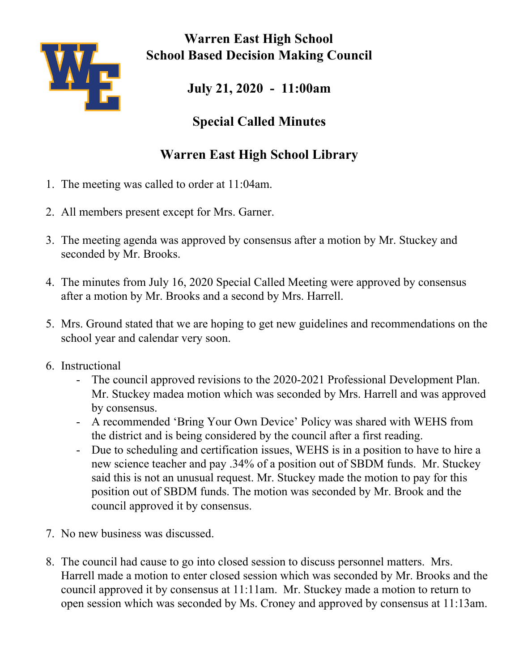

**Warren East High School School Based Decision Making Council**

**July 21, 2020 - 11:00am**

## **Special Called Minutes**

## **Warren East High School Library**

- 1. The meeting was called to order at 11:04am.
- 2. All members present except for Mrs. Garner.
- 3. The meeting agenda was approved by consensus after a motion by Mr. Stuckey and seconded by Mr. Brooks.
- 4. The minutes from July 16, 2020 Special Called Meeting were approved by consensus after a motion by Mr. Brooks and a second by Mrs. Harrell.
- 5. Mrs. Ground stated that we are hoping to get new guidelines and recommendations on the school year and calendar very soon.
- 6. Instructional
	- The council approved revisions to the 2020-2021 Professional Development Plan. Mr. Stuckey madea motion which was seconded by Mrs. Harrell and was approved by consensus.
	- A recommended 'Bring Your Own Device' Policy was shared with WEHS from the district and is being considered by the council after a first reading.
	- Due to scheduling and certification issues, WEHS is in a position to have to hire a new science teacher and pay .34% of a position out of SBDM funds. Mr. Stuckey said this is not an unusual request. Mr. Stuckey made the motion to pay for this position out of SBDM funds. The motion was seconded by Mr. Brook and the council approved it by consensus.
- 7. No new business was discussed.
- 8. The council had cause to go into closed session to discuss personnel matters. Mrs. Harrell made a motion to enter closed session which was seconded by Mr. Brooks and the council approved it by consensus at 11:11am. Mr. Stuckey made a motion to return to open session which was seconded by Ms. Croney and approved by consensus at 11:13am.